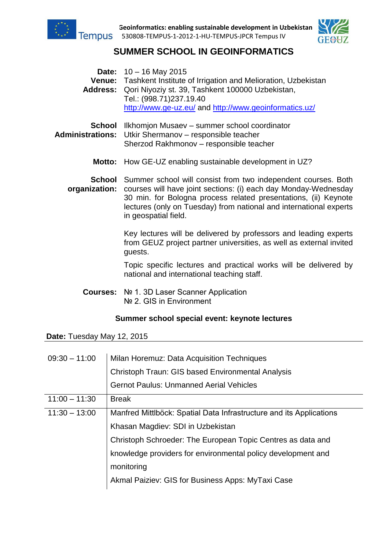

**Geoinformatics: enabling sustainable development in Uzbekistan** 530808-TEMPUS-1-2012-1-HU-TEMPUS-JPCR Tempus IV



# **SUMMER SCHOOL IN GEOINFORMATICS**

**Date:** 10 – 16 May 2015 **Venue:** Tashkent Institute of Irrigation and Melioration, Uzbekistan **Address:** Qori Niyoziy st. 39, Tashkent 100000 Uzbekistan, Tel.: (998.71)237.19.40 <http://www.ge-uz.eu/> and<http://www.geoinformatics.uz/> **School**  Ilkhomjon Musaev – summer school coordinator

- **Administrations:** Utkir Shermanov responsible teacher Sherzod Rakhmonov – responsible teacher
	- **Motto:** How GE-UZ enabling sustainable development in UZ?

**School** Summer school will consist from two independent courses. Both **organization:** courses will have joint sections: (i) each day Monday-Wednesday 30 min. for Bologna process related presentations, (ii) Keynote lectures (only on Tuesday) from national and international experts in geospatial field.

> Key lectures will be delivered by professors and leading experts from GEUZ project partner universities, as well as external invited guests.

> Topic specific lectures and practical works will be delivered by national and international teaching staff.

**Courses:** № 1. 3D Laser Scanner Application Nº 2. GIS in Environment

### **Summer school special event: keynote lectures**

**Date:** Tuesday May 12, 2015

| $09:30 - 11:00$ | Milan Horemuz: Data Acquisition Techniques<br>Christoph Traun: GIS based Environmental Analysis<br><b>Gernot Paulus: Unmanned Aerial Vehicles</b> |
|-----------------|---------------------------------------------------------------------------------------------------------------------------------------------------|
| $11:00 - 11:30$ | <b>Break</b>                                                                                                                                      |
| $11:30 - 13:00$ | Manfred Mittlböck: Spatial Data Infrastructure and its Applications                                                                               |
|                 | Khasan Magdiev: SDI in Uzbekistan                                                                                                                 |
|                 | Christoph Schroeder: The European Topic Centres as data and                                                                                       |
|                 | knowledge providers for environmental policy development and                                                                                      |
|                 | monitoring                                                                                                                                        |
|                 | Akmal Paiziev: GIS for Business Apps: MyTaxi Case                                                                                                 |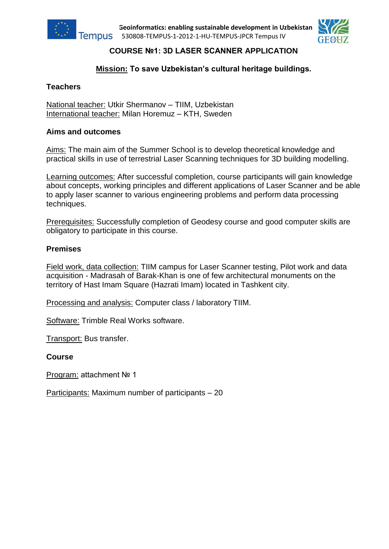

**Geoinformatics: enabling sustainable development in Uzbekistan** 530808-TEMPUS-1-2012-1-HU-TEMPUS-JPCR Tempus IV



## **COURSE №1: 3D LASER SCANNER APPLICATION**

### **Mission: To save Uzbekistan's cultural heritage buildings.**

### **Teachers**

National teacher: Utkir Shermanov – TIIM, Uzbekistan International teacher: Milan Horemuz – KTH, Sweden

### **Aims and outcomes**

Aims: The main aim of the Summer School is to develop theoretical knowledge and practical skills in use of terrestrial Laser Scanning techniques for 3D building modelling.

Learning outcomes: After successful completion, course participants will gain knowledge about concepts, working principles and different applications of Laser Scanner and be able to apply laser scanner to various engineering problems and perform data processing techniques.

Prerequisites: Successfully completion of Geodesy course and good computer skills are obligatory to participate in this course.

#### **Premises**

Field work, data collection: TIIM campus for Laser Scanner testing, Pilot work and data acquisition - Madrasah of Barak-Khan is one of few architectural monuments on the territory of Hast Imam Square (Hazrati Imam) located in Tashkent city.

Processing and analysis: Computer class / laboratory TIIM.

Software: Trimble Real Works software.

Transport: Bus transfer.

#### **Course**

Program: attachment № 1

Participants: Maximum number of participants – 20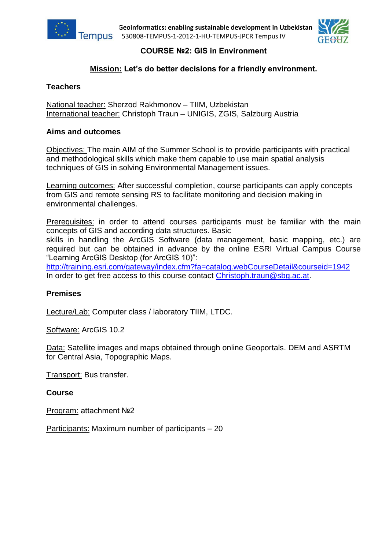



### **COURSE №2: GIS in Environment**

### **Mission: Let's do better decisions for a friendly environment.**

### **Teachers**

National teacher: Sherzod Rakhmonov – TIIM, Uzbekistan International teacher: Christoph Traun – UNIGIS, ZGIS, Salzburg Austria

### **Aims and outcomes**

Objectives: The main AIM of the Summer School is to provide participants with practical and methodological skills which make them capable to use main spatial analysis techniques of GIS in solving Environmental Management issues.

Learning outcomes: After successful completion, course participants can apply concepts from GIS and remote sensing RS to facilitate monitoring and decision making in environmental challenges.

Prerequisites: in order to attend courses participants must be familiar with the main concepts of GIS and according data structures. Basic

skills in handling the ArcGIS Software (data management, basic mapping, etc.) are required but can be obtained in advance by the online ESRI Virtual Campus Course "Learning ArcGIS Desktop (for ArcGIS 10)":

<http://training.esri.com/gateway/index.cfm?fa=catalog.webCourseDetail&courseid=1942> In order to get free access to this course contact [Christoph.traun@sbg.ac.at.](mailto:Christoph.traun@sbg.ac.at)

#### **Premises**

Lecture/Lab: Computer class / laboratory TIIM, LTDC.

Software: ArcGIS 10.2

Data: Satellite images and maps obtained through online Geoportals. DEM and ASRTM for Central Asia, Topographic Maps.

Transport: Bus transfer.

#### **Course**

Program: attachment №2

Participants: Maximum number of participants – 20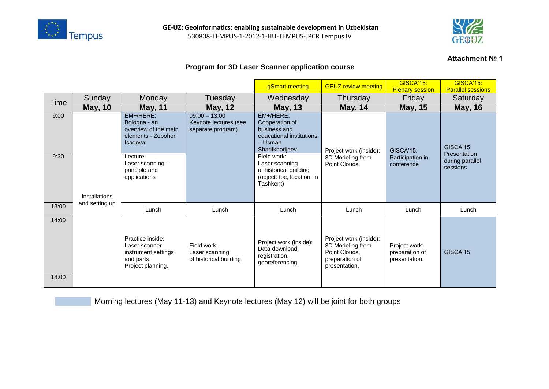



#### **Attachment № 1**

### **Program for 3D Laser Scanner application course**

|                |                |                                                                                                                                                     |                                                               | gSmart meeting                                                                                                                                                                                             | <b>GEUZ review meeting</b>                                                                     | <b>GISCA'15:</b><br><b>Plenary session</b>         | <b>GISCA'15:</b><br><b>Parallel sessions</b>                    |
|----------------|----------------|-----------------------------------------------------------------------------------------------------------------------------------------------------|---------------------------------------------------------------|------------------------------------------------------------------------------------------------------------------------------------------------------------------------------------------------------------|------------------------------------------------------------------------------------------------|----------------------------------------------------|-----------------------------------------------------------------|
| Time           | Sunday         | Monday                                                                                                                                              | Tuesday                                                       | Wednesday                                                                                                                                                                                                  | Thursday                                                                                       | Friday                                             | Saturday                                                        |
|                | <b>May, 10</b> | <b>May, 11</b>                                                                                                                                      | <b>May, 12</b>                                                | <b>May, 13</b>                                                                                                                                                                                             | <b>May, 14</b>                                                                                 | <b>May, 15</b>                                     | <b>May, 16</b>                                                  |
| 9:00<br>9:30   | Installations  | EM+/HERE:<br>Bologna - an<br>overview of the main<br>elements - Zebohon<br>Isaqova<br>Lecture:<br>Laser scanning -<br>principle and<br>applications | $09:00 - 13:00$<br>Keynote lectures (see<br>separate program) | EM+/HERE:<br>Cooperation of<br>business and<br>educational institutions<br>- Usman<br>Sharifkhodjaev<br>Field work:<br>Laser scanning<br>of historical building<br>(object: tbc, location: in<br>Tashkent) | Project work (inside):<br>3D Modeling from<br>Point Clouds.                                    | <b>GISCA'15:</b><br>Participation in<br>conference | <b>GISCA'15:</b><br>Presentation<br>during parallel<br>sessions |
| 13:00          | and setting up | Lunch                                                                                                                                               | Lunch                                                         | Lunch                                                                                                                                                                                                      | Lunch                                                                                          | Lunch                                              | Lunch                                                           |
| 14:00<br>18:00 |                | Practice inside:<br>Laser scanner<br>instrument settings<br>and parts.<br>Project planning.                                                         | Field work:<br>Laser scanning<br>of historical building.      | Project work (inside):<br>Data download,<br>registration,<br>georeferencing.                                                                                                                               | Project work (inside):<br>3D Modeling from<br>Point Clouds,<br>preparation of<br>presentation. | Project work:<br>preparation of<br>presentation.   | GISCA'15                                                        |

Morning lectures (May 11-13) and Keynote lectures (May 12) will be joint for both groups